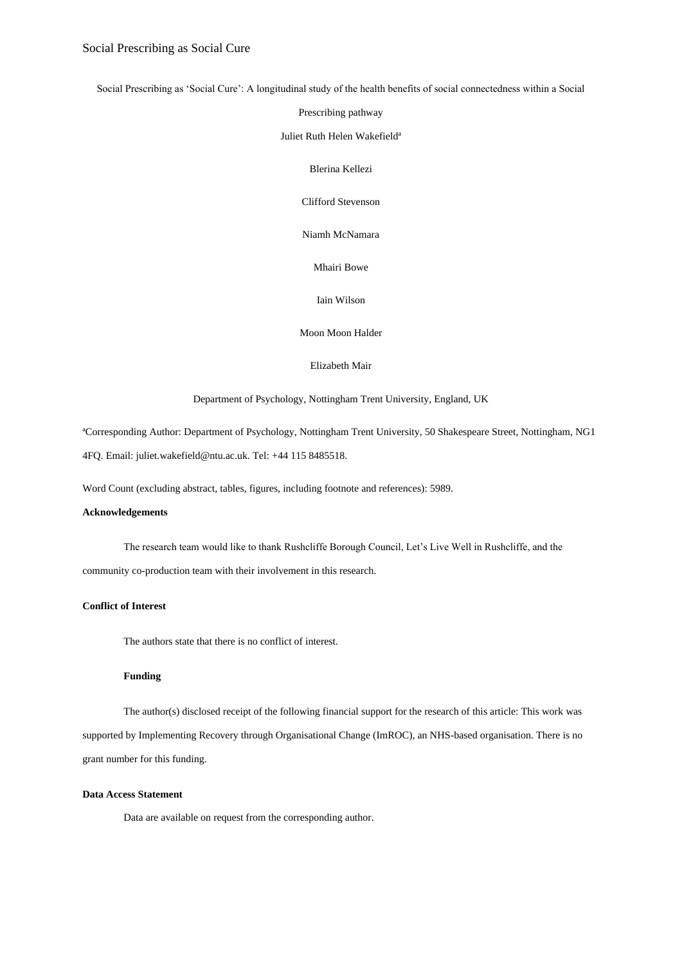Social Prescribing as 'Social Cure': A longitudinal study of the health benefits of social connectedness within a Social

Prescribing pathway

Juliet Ruth Helen Wakefield<sup>a</sup>

Blerina Kellezi

Clifford Stevenson

Niamh McNamara

Mhairi Bowe

Iain Wilson

Moon Moon Halder

Elizabeth Mair

Department of Psychology, Nottingham Trent University, England, UK

<sup>a</sup>Corresponding Author: Department of Psychology, Nottingham Trent University, 50 Shakespeare Street, Nottingham, NG1 4FQ. Email: juliet.wakefield@ntu.ac.uk. Tel: +44 115 8485518.

Word Count (excluding abstract, tables, figures, including footnote and references): 5989.

#### **Acknowledgements**

The research team would like to thank Rushcliffe Borough Council, Let's Live Well in Rushcliffe, and the community co-production team with their involvement in this research.

#### **Conflict of Interest**

The authors state that there is no conflict of interest.

#### **Funding**

The author(s) disclosed receipt of the following financial support for the research of this article: This work was supported by Implementing Recovery through Organisational Change (ImROC), an NHS-based organisation. There is no grant number for this funding.

#### **Data Access Statement**

Data are available on request from the corresponding author.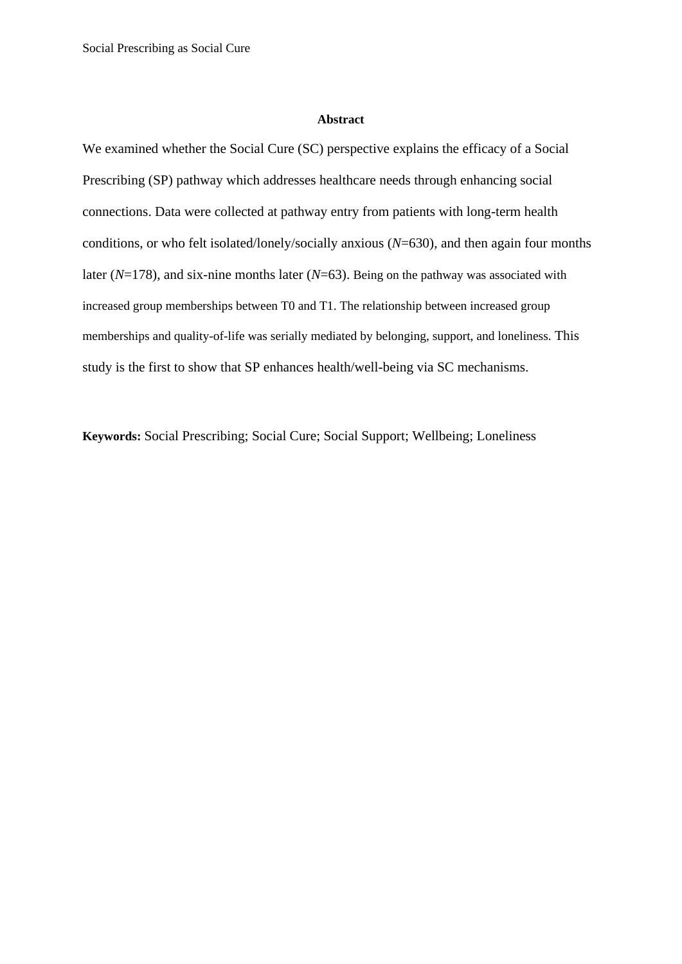#### **Abstract**

We examined whether the Social Cure (SC) perspective explains the efficacy of a Social Prescribing (SP) pathway which addresses healthcare needs through enhancing social connections. Data were collected at pathway entry from patients with long-term health conditions, or who felt isolated/lonely/socially anxious (*N*=630), and then again four months later (*N*=178), and six-nine months later (*N*=63). Being on the pathway was associated with increased group memberships between T0 and T1. The relationship between increased group memberships and quality-of-life was serially mediated by belonging, support, and loneliness. This study is the first to show that SP enhances health/well-being via SC mechanisms.

**Keywords:** Social Prescribing; Social Cure; Social Support; Wellbeing; Loneliness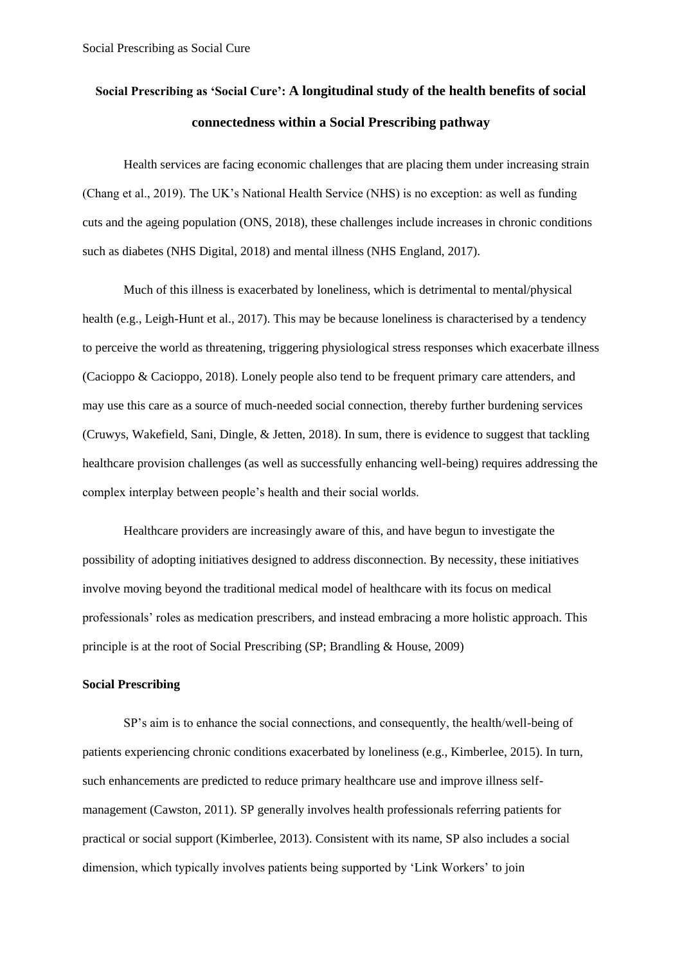# **Social Prescribing as 'Social Cure': A longitudinal study of the health benefits of social connectedness within a Social Prescribing pathway**

Health services are facing economic challenges that are placing them under increasing strain (Chang et al., 2019). The UK's National Health Service (NHS) is no exception: as well as funding cuts and the ageing population (ONS, 2018), these challenges include increases in chronic conditions such as diabetes (NHS Digital, 2018) and mental illness (NHS England, 2017).

Much of this illness is exacerbated by loneliness, which is detrimental to mental/physical health (e.g., Leigh-Hunt et al., 2017). This may be because loneliness is characterised by a tendency to perceive the world as threatening, triggering physiological stress responses which exacerbate illness (Cacioppo & Cacioppo, 2018). Lonely people also tend to be frequent primary care attenders, and may use this care as a source of much-needed social connection, thereby further burdening services (Cruwys, Wakefield, Sani, Dingle, & Jetten, 2018). In sum, there is evidence to suggest that tackling healthcare provision challenges (as well as successfully enhancing well-being) requires addressing the complex interplay between people's health and their social worlds.

Healthcare providers are increasingly aware of this, and have begun to investigate the possibility of adopting initiatives designed to address disconnection. By necessity, these initiatives involve moving beyond the traditional medical model of healthcare with its focus on medical professionals' roles as medication prescribers, and instead embracing a more holistic approach. This principle is at the root of Social Prescribing (SP; Brandling & House, 2009)

# **Social Prescribing**

SP's aim is to enhance the social connections, and consequently, the health/well-being of patients experiencing chronic conditions exacerbated by loneliness (e.g., Kimberlee, 2015). In turn, such enhancements are predicted to reduce primary healthcare use and improve illness selfmanagement (Cawston, 2011). SP generally involves health professionals referring patients for practical or social support (Kimberlee, 2013). Consistent with its name, SP also includes a social dimension, which typically involves patients being supported by 'Link Workers' to join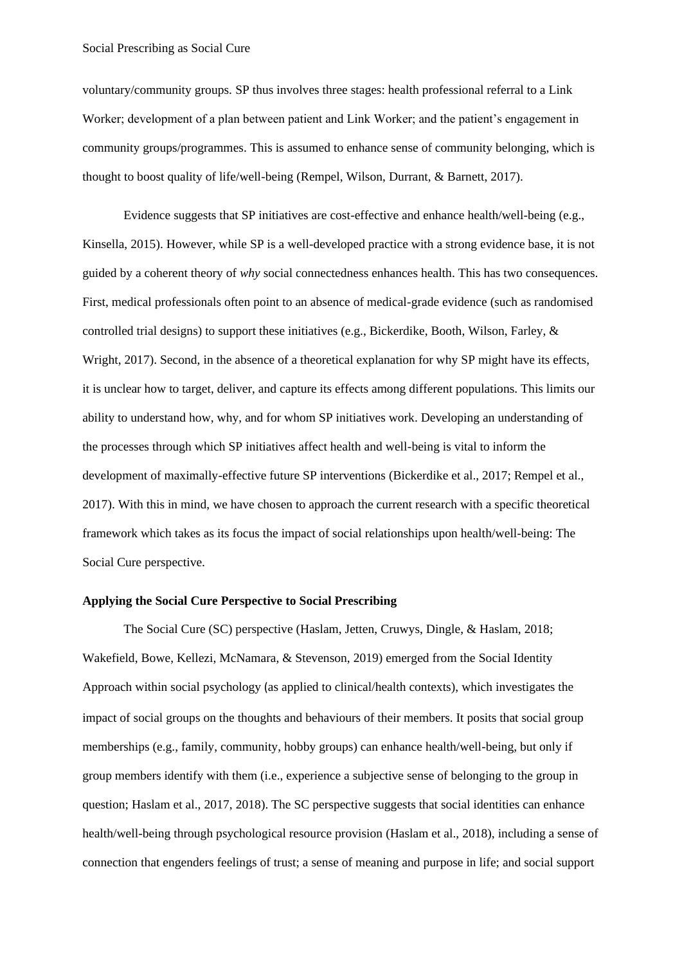## Social Prescribing as Social Cure

voluntary/community groups. SP thus involves three stages: health professional referral to a Link Worker; development of a plan between patient and Link Worker; and the patient's engagement in community groups/programmes. This is assumed to enhance sense of community belonging, which is thought to boost quality of life/well-being (Rempel, Wilson, Durrant, & Barnett, 2017).

Evidence suggests that SP initiatives are cost-effective and enhance health/well-being (e.g., Kinsella, 2015). However, while SP is a well-developed practice with a strong evidence base, it is not guided by a coherent theory of *why* social connectedness enhances health. This has two consequences. First, medical professionals often point to an absence of medical-grade evidence (such as randomised controlled trial designs) to support these initiatives (e.g., Bickerdike, Booth, Wilson, Farley, & Wright, 2017). Second, in the absence of a theoretical explanation for why SP might have its effects, it is unclear how to target, deliver, and capture its effects among different populations. This limits our ability to understand how, why, and for whom SP initiatives work. Developing an understanding of the processes through which SP initiatives affect health and well-being is vital to inform the development of maximally-effective future SP interventions (Bickerdike et al., 2017; Rempel et al., 2017). With this in mind, we have chosen to approach the current research with a specific theoretical framework which takes as its focus the impact of social relationships upon health/well-being: The Social Cure perspective.

### **Applying the Social Cure Perspective to Social Prescribing**

The Social Cure (SC) perspective (Haslam, Jetten, Cruwys, Dingle, & Haslam, 2018; Wakefield, Bowe, Kellezi, McNamara, & Stevenson, 2019) emerged from the Social Identity Approach within social psychology (as applied to clinical/health contexts), which investigates the impact of social groups on the thoughts and behaviours of their members. It posits that social group memberships (e.g., family, community, hobby groups) can enhance health/well-being, but only if group members identify with them (i.e., experience a subjective sense of belonging to the group in question; Haslam et al., 2017, 2018). The SC perspective suggests that social identities can enhance health/well-being through psychological resource provision (Haslam et al., 2018), including a sense of connection that engenders feelings of trust; a sense of meaning and purpose in life; and social support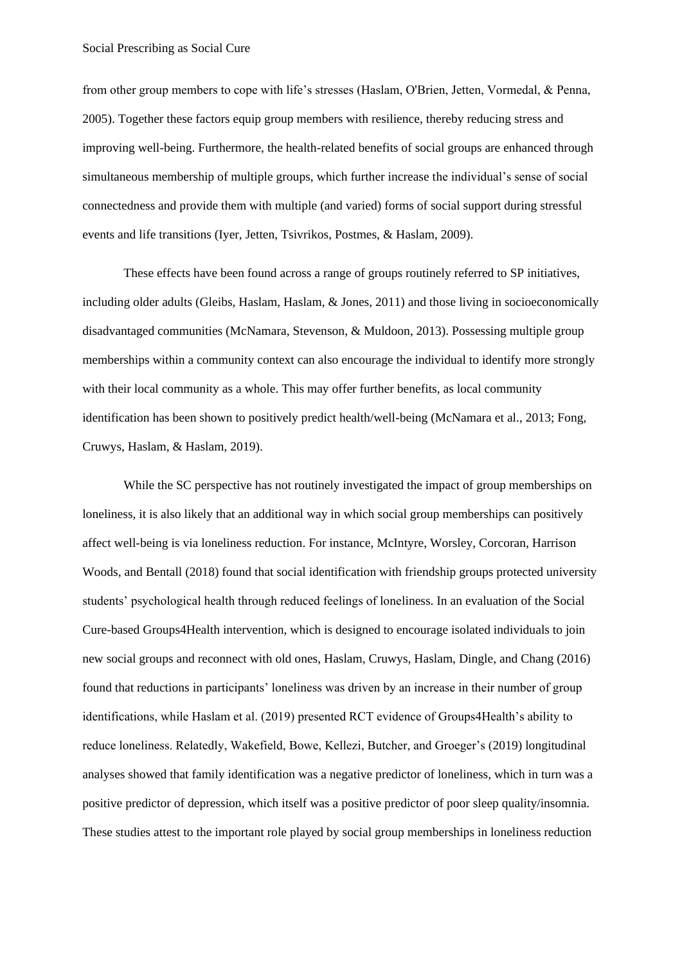from other group members to cope with life's stresses (Haslam, O'Brien, Jetten, Vormedal, & Penna, 2005). Together these factors equip group members with resilience, thereby reducing stress and improving well-being. Furthermore, the health-related benefits of social groups are enhanced through simultaneous membership of multiple groups, which further increase the individual's sense of social connectedness and provide them with multiple (and varied) forms of social support during stressful events and life transitions (Iyer, Jetten, Tsivrikos, Postmes, & Haslam, 2009).

These effects have been found across a range of groups routinely referred to SP initiatives, including older adults (Gleibs, Haslam, Haslam, & Jones, 2011) and those living in socioeconomically disadvantaged communities (McNamara, Stevenson, & Muldoon, 2013). Possessing multiple group memberships within a community context can also encourage the individual to identify more strongly with their local community as a whole. This may offer further benefits, as local community identification has been shown to positively predict health/well-being (McNamara et al., 2013; Fong, Cruwys, Haslam, & Haslam, 2019).

While the SC perspective has not routinely investigated the impact of group memberships on loneliness, it is also likely that an additional way in which social group memberships can positively affect well-being is via loneliness reduction. For instance, McIntyre, Worsley, Corcoran, Harrison Woods, and Bentall (2018) found that social identification with friendship groups protected university students' psychological health through reduced feelings of loneliness. In an evaluation of the Social Cure-based Groups4Health intervention, which is designed to encourage isolated individuals to join new social groups and reconnect with old ones, Haslam, Cruwys, Haslam, Dingle, and Chang (2016) found that reductions in participants' loneliness was driven by an increase in their number of group identifications, while Haslam et al. (2019) presented RCT evidence of Groups4Health's ability to reduce loneliness. Relatedly, Wakefield, Bowe, Kellezi, Butcher, and Groeger's (2019) longitudinal analyses showed that family identification was a negative predictor of loneliness, which in turn was a positive predictor of depression, which itself was a positive predictor of poor sleep quality/insomnia. These studies attest to the important role played by social group memberships in loneliness reduction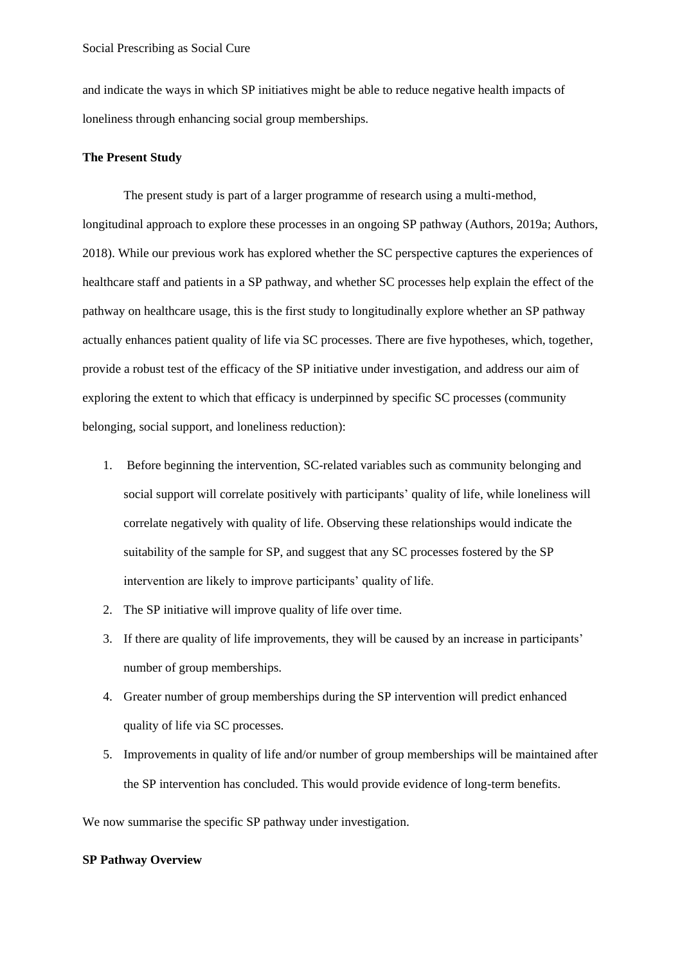and indicate the ways in which SP initiatives might be able to reduce negative health impacts of loneliness through enhancing social group memberships.

# **The Present Study**

The present study is part of a larger programme of research using a multi-method, longitudinal approach to explore these processes in an ongoing SP pathway (Authors, 2019a; Authors, 2018). While our previous work has explored whether the SC perspective captures the experiences of healthcare staff and patients in a SP pathway, and whether SC processes help explain the effect of the pathway on healthcare usage, this is the first study to longitudinally explore whether an SP pathway actually enhances patient quality of life via SC processes. There are five hypotheses, which, together, provide a robust test of the efficacy of the SP initiative under investigation, and address our aim of exploring the extent to which that efficacy is underpinned by specific SC processes (community belonging, social support, and loneliness reduction):

- 1. Before beginning the intervention, SC-related variables such as community belonging and social support will correlate positively with participants' quality of life, while loneliness will correlate negatively with quality of life. Observing these relationships would indicate the suitability of the sample for SP, and suggest that any SC processes fostered by the SP intervention are likely to improve participants' quality of life.
- 2. The SP initiative will improve quality of life over time.
- 3. If there are quality of life improvements, they will be caused by an increase in participants' number of group memberships.
- 4. Greater number of group memberships during the SP intervention will predict enhanced quality of life via SC processes.
- 5. Improvements in quality of life and/or number of group memberships will be maintained after the SP intervention has concluded. This would provide evidence of long-term benefits.

We now summarise the specific SP pathway under investigation.

## **SP Pathway Overview**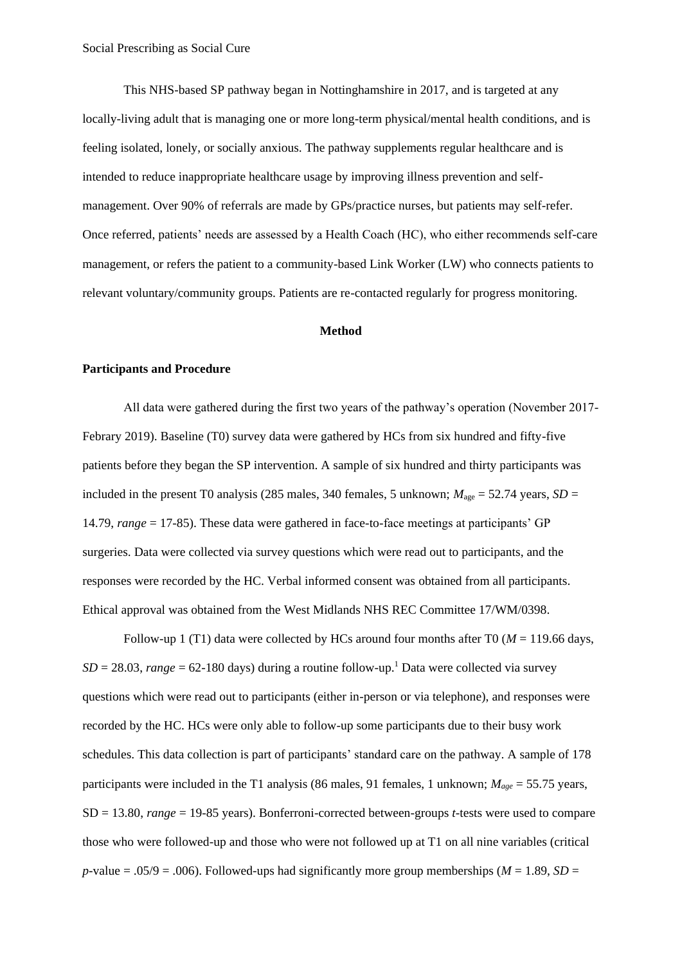This NHS-based SP pathway began in Nottinghamshire in 2017, and is targeted at any locally-living adult that is managing one or more long-term physical/mental health conditions, and is feeling isolated, lonely, or socially anxious. The pathway supplements regular healthcare and is intended to reduce inappropriate healthcare usage by improving illness prevention and selfmanagement. Over 90% of referrals are made by GPs/practice nurses, but patients may self-refer. Once referred, patients' needs are assessed by a Health Coach (HC), who either recommends self-care management, or refers the patient to a community-based Link Worker (LW) who connects patients to relevant voluntary/community groups. Patients are re-contacted regularly for progress monitoring.

#### **Method**

#### **Participants and Procedure**

All data were gathered during the first two years of the pathway's operation (November 2017- Febrary 2019). Baseline (T0) survey data were gathered by HCs from six hundred and fifty-five patients before they began the SP intervention. A sample of six hundred and thirty participants was included in the present T0 analysis (285 males, 340 females, 5 unknown;  $M_{\text{age}} = 52.74$  years,  $SD =$ 14.79, *range* = 17-85). These data were gathered in face-to-face meetings at participants' GP surgeries. Data were collected via survey questions which were read out to participants, and the responses were recorded by the HC. Verbal informed consent was obtained from all participants. Ethical approval was obtained from the West Midlands NHS REC Committee 17/WM/0398.

Follow-up 1 (T1) data were collected by HCs around four months after T0 (*M* = 119.66 days,  $SD = 28.03$ , *range* = 62-180 days) during a routine follow-up.<sup>1</sup> Data were collected via survey questions which were read out to participants (either in-person or via telephone), and responses were recorded by the HC. HCs were only able to follow-up some participants due to their busy work schedules. This data collection is part of participants' standard care on the pathway. A sample of 178 participants were included in the T1 analysis (86 males, 91 females, 1 unknown;  $M_{\text{ave}} = 55.75$  years, SD = 13.80, *range* = 19-85 years). Bonferroni-corrected between-groups *t*-tests were used to compare those who were followed-up and those who were not followed up at T1 on all nine variables (critical *p*-value = .05/9 = .006). Followed-ups had significantly more group memberships ( $M = 1.89$ ,  $SD =$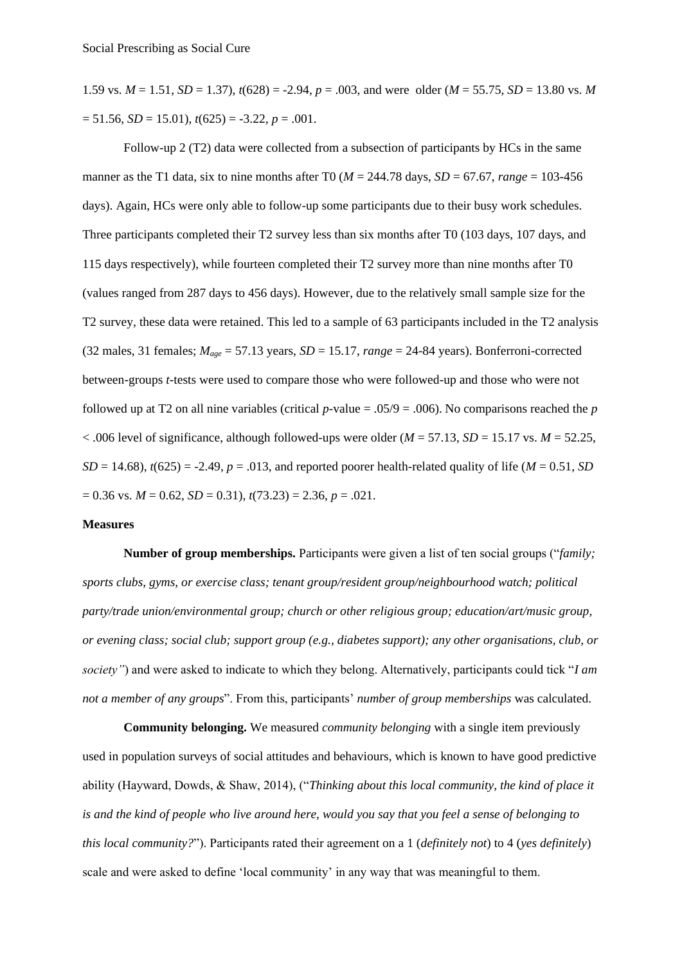1.59 vs.  $M = 1.51$ ,  $SD = 1.37$ ,  $t(628) = -2.94$ ,  $p = .003$ , and were older ( $M = 55.75$ ,  $SD = 13.80$  vs.  $M$  $= 51.56, SD = 15.01$ ,  $t(625) = -3.22, p = .001$ .

Follow-up 2 (T2) data were collected from a subsection of participants by HCs in the same manner as the T1 data, six to nine months after T0 ( $M = 244.78$  days,  $SD = 67.67$ , *range* = 103-456 days). Again, HCs were only able to follow-up some participants due to their busy work schedules. Three participants completed their T2 survey less than six months after T0 (103 days, 107 days, and 115 days respectively), while fourteen completed their T2 survey more than nine months after T0 (values ranged from 287 days to 456 days). However, due to the relatively small sample size for the T2 survey, these data were retained. This led to a sample of 63 participants included in the T2 analysis (32 males, 31 females;  $M_{age} = 57.13$  years,  $SD = 15.17$ ,  $range = 24-84$  years). Bonferroni-corrected between-groups *t*-tests were used to compare those who were followed-up and those who were not followed up at T2 on all nine variables (critical  $p$ -value = .05/9 = .006). No comparisons reached the  $p$  $< .006$  level of significance, although followed-ups were older ( $M = 57.13$ ,  $SD = 15.17$  vs.  $M = 52.25$ ,  $SD = 14.68$ ),  $t(625) = -2.49$ ,  $p = .013$ , and reported poorer health-related quality of life (*M* = 0.51, *SD*  $= 0.36$  vs.  $M = 0.62$ ,  $SD = 0.31$ ,  $t(73.23) = 2.36$ ,  $p = .021$ .

# **Measures**

**Number of group memberships.** Participants were given a list of ten social groups ("*family; sports clubs, gyms, or exercise class; tenant group/resident group/neighbourhood watch; political party/trade union/environmental group; church or other religious group; education/art/music group, or evening class; social club; support group (e.g., diabetes support); any other organisations, club, or society"*) and were asked to indicate to which they belong. Alternatively, participants could tick "*I am not a member of any groups*". From this, participants' *number of group memberships* was calculated.

**Community belonging.** We measured *community belonging* with a single item previously used in population surveys of social attitudes and behaviours, which is known to have good predictive ability (Hayward, Dowds, & Shaw, 2014), ("*Thinking about this local community, the kind of place it is and the kind of people who live around here, would you say that you feel a sense of belonging to this local community?*"). Participants rated their agreement on a 1 (*definitely not*) to 4 (*yes definitely*) scale and were asked to define 'local community' in any way that was meaningful to them.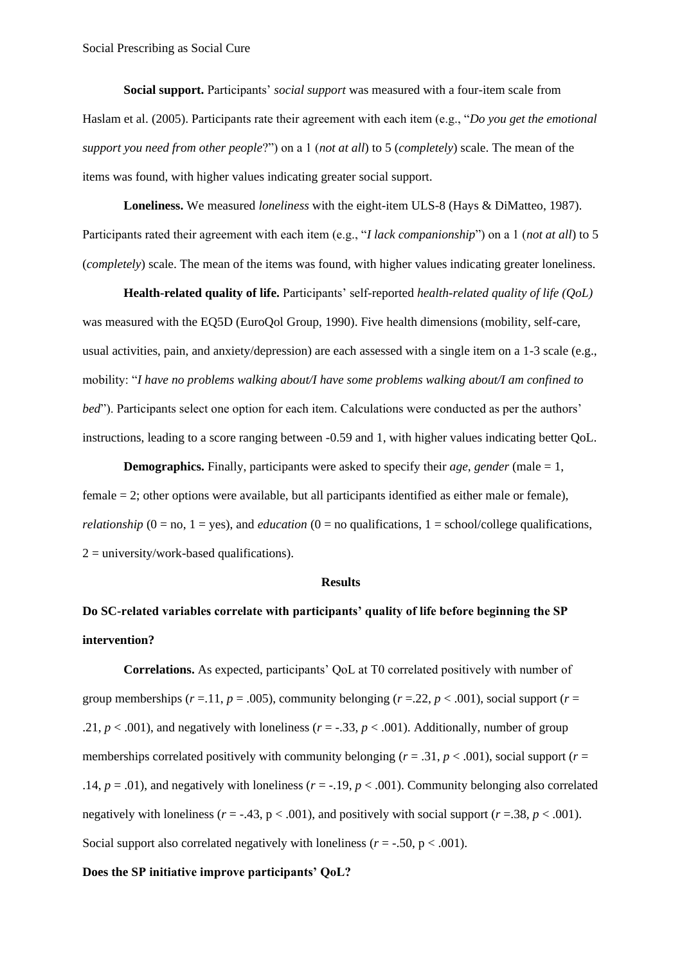**Social support.** Participants' *social support* was measured with a four-item scale from Haslam et al. (2005). Participants rate their agreement with each item (e.g., "*Do you get the emotional support you need from other people*?") on a 1 (*not at all*) to 5 (*completely*) scale. The mean of the items was found, with higher values indicating greater social support.

**Loneliness.** We measured *loneliness* with the eight-item ULS-8 (Hays & DiMatteo, 1987). Participants rated their agreement with each item (e.g., "*I lack companionship*") on a 1 (*not at all*) to 5 (*completely*) scale. The mean of the items was found, with higher values indicating greater loneliness.

**Health-related quality of life.** Participants' self-reported *health-related quality of life (QoL)* was measured with the EQ5D (EuroQol Group, 1990). Five health dimensions (mobility, self-care, usual activities, pain, and anxiety/depression) are each assessed with a single item on a 1-3 scale (e.g., mobility: "*I have no problems walking about/I have some problems walking about/I am confined to bed*"). Participants select one option for each item. Calculations were conducted as per the authors' instructions, leading to a score ranging between -0.59 and 1, with higher values indicating better QoL.

**Demographics.** Finally, participants were asked to specify their *age*, *gender* (male = 1, female = 2; other options were available, but all participants identified as either male or female), *relationship* ( $0 = no$ ,  $1 = yes$ ), and *education* ( $0 = no$  qualifications,  $1 = school/college$  qualifications,  $2 =$  university/work-based qualifications).

#### **Results**

# **Do SC-related variables correlate with participants' quality of life before beginning the SP intervention?**

**Correlations.** As expected, participants' QoL at T0 correlated positively with number of group memberships ( $r = 0.11$ ,  $p = 0.005$ ), community belonging ( $r = 0.22$ ,  $p < 0.001$ ), social support ( $r = 0.01$ ) .21,  $p < .001$ ), and negatively with loneliness ( $r = -.33$ ,  $p < .001$ ). Additionally, number of group memberships correlated positively with community belonging ( $r = .31$ ,  $p < .001$ ), social support ( $r =$ .14,  $p = .01$ ), and negatively with loneliness ( $r = -.19$ ,  $p < .001$ ). Community belonging also correlated negatively with loneliness ( $r = -0.43$ ,  $p < .001$ ), and positively with social support ( $r = 0.38$ ,  $p < .001$ ). Social support also correlated negatively with loneliness  $(r = -.50, p < .001)$ .

#### **Does the SP initiative improve participants' QoL?**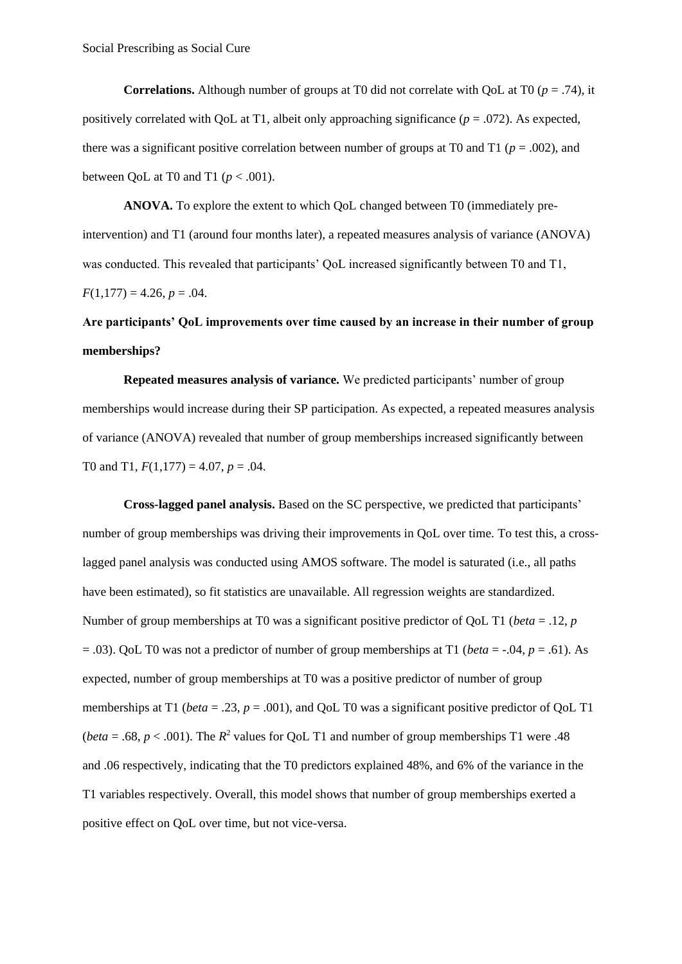**Correlations.** Although number of groups at T0 did not correlate with QoL at T0 ( $p = .74$ ), it positively correlated with QoL at T1, albeit only approaching significance (*p* = .072). As expected, there was a significant positive correlation between number of groups at T0 and T1 ( $p = .002$ ), and between OoL at T0 and T1 ( $p < .001$ ).

**ANOVA.** To explore the extent to which QoL changed between T0 (immediately preintervention) and T1 (around four months later), a repeated measures analysis of variance (ANOVA) was conducted. This revealed that participants' QoL increased significantly between T0 and T1,  $F(1,177) = 4.26, p = .04.$ 

# **Are participants' QoL improvements over time caused by an increase in their number of group memberships?**

**Repeated measures analysis of variance.** We predicted participants' number of group memberships would increase during their SP participation. As expected, a repeated measures analysis of variance (ANOVA) revealed that number of group memberships increased significantly between T0 and T1, *F*(1,177) = 4.07, *p* = .04.

**Cross-lagged panel analysis.** Based on the SC perspective, we predicted that participants' number of group memberships was driving their improvements in QoL over time. To test this, a crosslagged panel analysis was conducted using AMOS software. The model is saturated (i.e., all paths have been estimated), so fit statistics are unavailable. All regression weights are standardized. Number of group memberships at T0 was a significant positive predictor of QoL T1 (*beta* = .12, *p* = .03). QoL T0 was not a predictor of number of group memberships at T1 (*beta* = -.04, *p* = .61). As expected, number of group memberships at T0 was a positive predictor of number of group memberships at T1 (*beta* = .23, *p* = .001), and QoL T0 was a significant positive predictor of QoL T1 (*beta* = .68,  $p < .001$ ). The  $R^2$  values for QoL T1 and number of group memberships T1 were .48 and .06 respectively, indicating that the T0 predictors explained 48%, and 6% of the variance in the T1 variables respectively. Overall, this model shows that number of group memberships exerted a positive effect on QoL over time, but not vice-versa.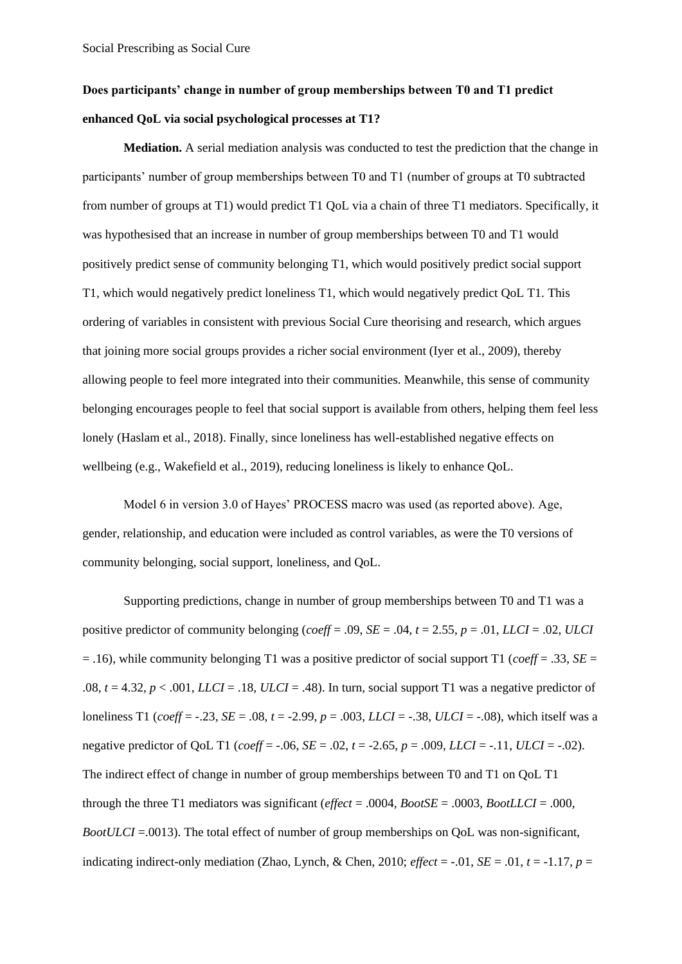# **Does participants' change in number of group memberships between T0 and T1 predict enhanced QoL via social psychological processes at T1?**

**Mediation.** A serial mediation analysis was conducted to test the prediction that the change in participants' number of group memberships between T0 and T1 (number of groups at T0 subtracted from number of groups at T1) would predict T1 QoL via a chain of three T1 mediators. Specifically, it was hypothesised that an increase in number of group memberships between T0 and T1 would positively predict sense of community belonging T1, which would positively predict social support T1, which would negatively predict loneliness T1, which would negatively predict QoL T1. This ordering of variables in consistent with previous Social Cure theorising and research, which argues that joining more social groups provides a richer social environment (Iyer et al., 2009), thereby allowing people to feel more integrated into their communities. Meanwhile, this sense of community belonging encourages people to feel that social support is available from others, helping them feel less lonely (Haslam et al., 2018). Finally, since loneliness has well-established negative effects on wellbeing (e.g., Wakefield et al., 2019), reducing loneliness is likely to enhance QoL.

Model 6 in version 3.0 of Hayes' PROCESS macro was used (as reported above). Age, gender, relationship, and education were included as control variables, as were the T0 versions of community belonging, social support, loneliness, and QoL.

Supporting predictions, change in number of group memberships between T0 and T1 was a positive predictor of community belonging (*coeff* = .09, *SE* = .04, *t* = 2.55, *p* = .01, *LLCI* = .02, *ULCI*  $= .16$ ), while community belonging T1 was a positive predictor of social support T1 (*coeff* = .33, *SE* = .08,  $t = 4.32$ ,  $p < .001$ , *LLCI* = .18, *ULCI* = .48). In turn, social support T1 was a negative predictor of loneliness T1 (*coeff* = -.23, *SE* = .08, *t* = -2.99, *p* = .003, *LLCI* = -.38, *ULCI* = -.08), which itself was a negative predictor of QoL T1 (*coeff* =  $-.06$ , *SE* =  $.02$ ,  $t = -2.65$ ,  $p = .009$ , *LLCI* =  $-.11$ , *ULCI* =  $-.02$ ). The indirect effect of change in number of group memberships between T0 and T1 on QoL T1 through the three T1 mediators was significant (*effect* = .0004, *BootSE* = .0003, *BootLLCI* = .000, *BootULCI* = 0.013). The total effect of number of group memberships on QoL was non-significant, indicating indirect-only mediation (Zhao, Lynch, & Chen, 2010;  $\epsilon$ *ffect* = -.01, *SE* = .01, *t* = -1.17, *p* =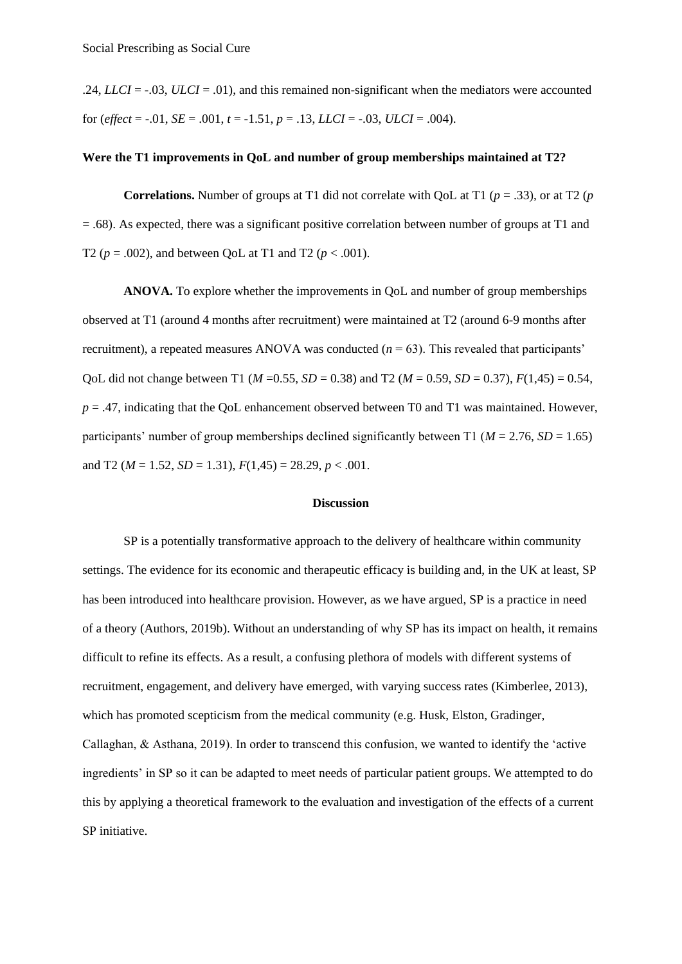.24, *LLCI* =  $-0.03$ , *ULCI* =  $-0.01$ ), and this remained non-significant when the mediators were accounted for (*effect* =  $-.01$ , *SE* =  $.001$ ,  $t = -1.51$ ,  $p = .13$ , *LLCI* =  $-.03$ , *ULCI* =  $.004$ ).

# **Were the T1 improvements in QoL and number of group memberships maintained at T2?**

**Correlations.** Number of groups at T1 did not correlate with QoL at T1 (*p* = .33), or at T2 (*p* = .68). As expected, there was a significant positive correlation between number of groups at T1 and T2 ( $p = .002$ ), and between QoL at T1 and T2 ( $p < .001$ ).

**ANOVA.** To explore whether the improvements in QoL and number of group memberships observed at T1 (around 4 months after recruitment) were maintained at T2 (around 6-9 months after recruitment), a repeated measures ANOVA was conducted  $(n = 63)$ . This revealed that participants' QoL did not change between T1 ( $M = 0.55$ ,  $SD = 0.38$ ) and T2 ( $M = 0.59$ ,  $SD = 0.37$ ),  $F(1,45) = 0.54$ ,  $p = .47$ , indicating that the QoL enhancement observed between T0 and T1 was maintained. However, participants' number of group memberships declined significantly between T1 ( $M = 2.76$ ,  $SD = 1.65$ ) and T2 ( $M = 1.52$ ,  $SD = 1.31$ ),  $F(1,45) = 28.29$ ,  $p < .001$ .

#### **Discussion**

SP is a potentially transformative approach to the delivery of healthcare within community settings. The evidence for its economic and therapeutic efficacy is building and, in the UK at least, SP has been introduced into healthcare provision. However, as we have argued, SP is a practice in need of a theory (Authors, 2019b). Without an understanding of why SP has its impact on health, it remains difficult to refine its effects. As a result, a confusing plethora of models with different systems of recruitment, engagement, and delivery have emerged, with varying success rates (Kimberlee, 2013), which has promoted scepticism from the medical community (e.g. Husk, Elston, Gradinger, Callaghan, & Asthana, 2019). In order to transcend this confusion, we wanted to identify the 'active ingredients' in SP so it can be adapted to meet needs of particular patient groups. We attempted to do this by applying a theoretical framework to the evaluation and investigation of the effects of a current SP initiative.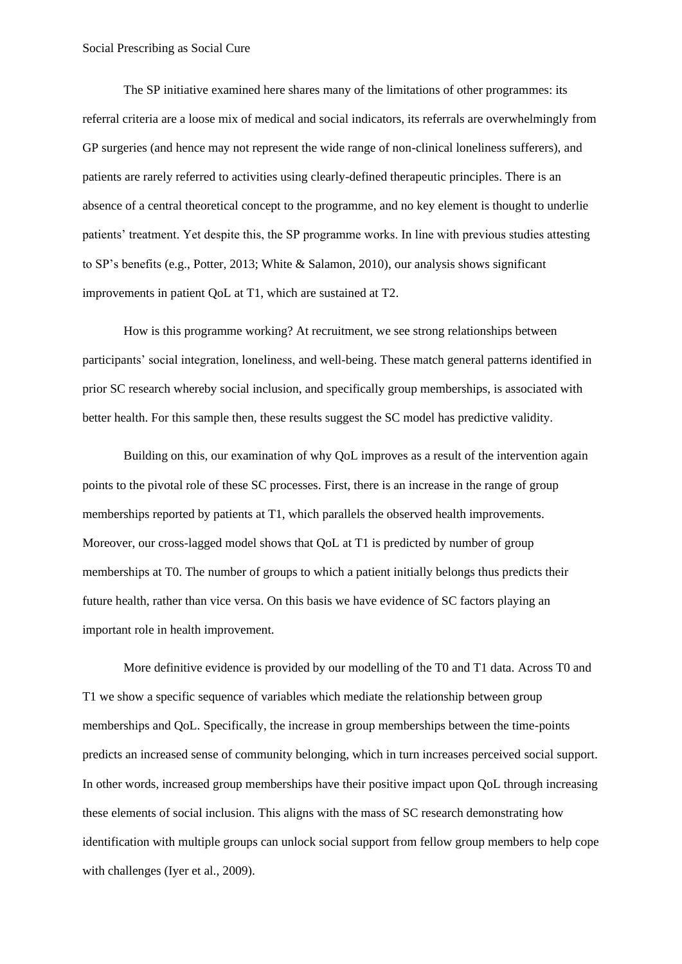The SP initiative examined here shares many of the limitations of other programmes: its referral criteria are a loose mix of medical and social indicators, its referrals are overwhelmingly from GP surgeries (and hence may not represent the wide range of non-clinical loneliness sufferers), and patients are rarely referred to activities using clearly-defined therapeutic principles. There is an absence of a central theoretical concept to the programme, and no key element is thought to underlie patients' treatment. Yet despite this, the SP programme works. In line with previous studies attesting to SP's benefits (e.g., Potter, 2013; White & Salamon, 2010), our analysis shows significant improvements in patient QoL at T1, which are sustained at T2.

How is this programme working? At recruitment, we see strong relationships between participants' social integration, loneliness, and well-being. These match general patterns identified in prior SC research whereby social inclusion, and specifically group memberships, is associated with better health. For this sample then, these results suggest the SC model has predictive validity.

Building on this, our examination of why QoL improves as a result of the intervention again points to the pivotal role of these SC processes. First, there is an increase in the range of group memberships reported by patients at T1, which parallels the observed health improvements. Moreover, our cross-lagged model shows that QoL at T1 is predicted by number of group memberships at T0. The number of groups to which a patient initially belongs thus predicts their future health, rather than vice versa. On this basis we have evidence of SC factors playing an important role in health improvement.

More definitive evidence is provided by our modelling of the T0 and T1 data. Across T0 and T1 we show a specific sequence of variables which mediate the relationship between group memberships and QoL. Specifically, the increase in group memberships between the time-points predicts an increased sense of community belonging, which in turn increases perceived social support. In other words, increased group memberships have their positive impact upon QoL through increasing these elements of social inclusion. This aligns with the mass of SC research demonstrating how identification with multiple groups can unlock social support from fellow group members to help cope with challenges (Iyer et al., 2009).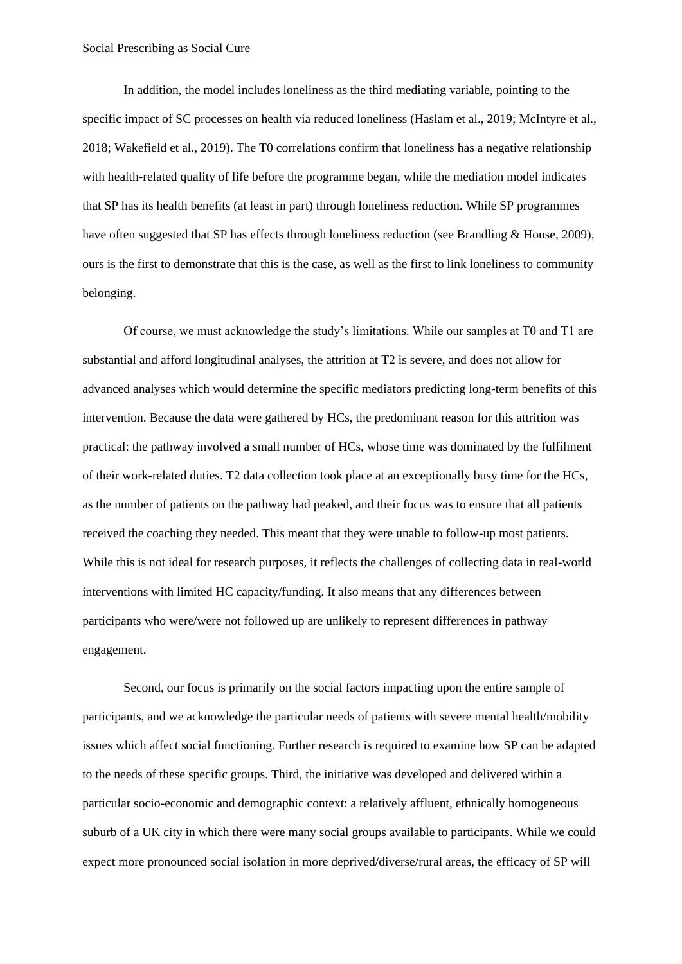In addition, the model includes loneliness as the third mediating variable, pointing to the specific impact of SC processes on health via reduced loneliness (Haslam et al., 2019; McIntyre et al., 2018; Wakefield et al., 2019). The T0 correlations confirm that loneliness has a negative relationship with health-related quality of life before the programme began, while the mediation model indicates that SP has its health benefits (at least in part) through loneliness reduction. While SP programmes have often suggested that SP has effects through loneliness reduction (see Brandling & House, 2009). ours is the first to demonstrate that this is the case, as well as the first to link loneliness to community belonging.

Of course, we must acknowledge the study's limitations. While our samples at T0 and T1 are substantial and afford longitudinal analyses, the attrition at T2 is severe, and does not allow for advanced analyses which would determine the specific mediators predicting long-term benefits of this intervention. Because the data were gathered by HCs, the predominant reason for this attrition was practical: the pathway involved a small number of HCs, whose time was dominated by the fulfilment of their work-related duties. T2 data collection took place at an exceptionally busy time for the HCs, as the number of patients on the pathway had peaked, and their focus was to ensure that all patients received the coaching they needed. This meant that they were unable to follow-up most patients. While this is not ideal for research purposes, it reflects the challenges of collecting data in real-world interventions with limited HC capacity/funding. It also means that any differences between participants who were/were not followed up are unlikely to represent differences in pathway engagement.

Second, our focus is primarily on the social factors impacting upon the entire sample of participants, and we acknowledge the particular needs of patients with severe mental health/mobility issues which affect social functioning. Further research is required to examine how SP can be adapted to the needs of these specific groups. Third, the initiative was developed and delivered within a particular socio-economic and demographic context: a relatively affluent, ethnically homogeneous suburb of a UK city in which there were many social groups available to participants. While we could expect more pronounced social isolation in more deprived/diverse/rural areas, the efficacy of SP will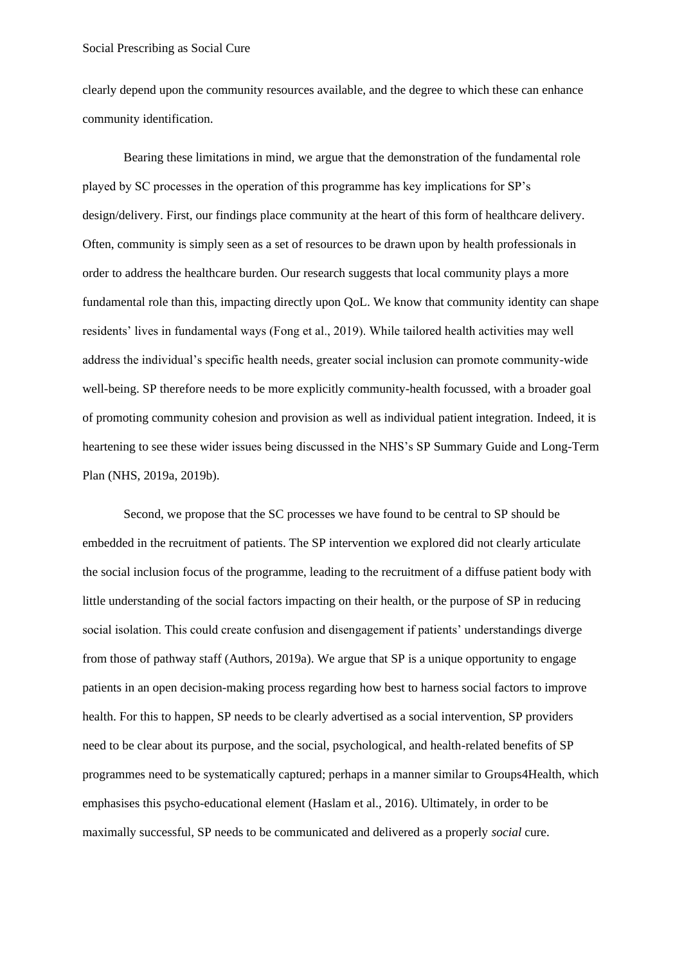clearly depend upon the community resources available, and the degree to which these can enhance community identification.

Bearing these limitations in mind, we argue that the demonstration of the fundamental role played by SC processes in the operation of this programme has key implications for SP's design/delivery. First, our findings place community at the heart of this form of healthcare delivery. Often, community is simply seen as a set of resources to be drawn upon by health professionals in order to address the healthcare burden. Our research suggests that local community plays a more fundamental role than this, impacting directly upon QoL. We know that community identity can shape residents' lives in fundamental ways (Fong et al., 2019). While tailored health activities may well address the individual's specific health needs, greater social inclusion can promote community-wide well-being. SP therefore needs to be more explicitly community-health focussed, with a broader goal of promoting community cohesion and provision as well as individual patient integration. Indeed, it is heartening to see these wider issues being discussed in the NHS's SP Summary Guide and Long-Term Plan (NHS, 2019a, 2019b).

Second, we propose that the SC processes we have found to be central to SP should be embedded in the recruitment of patients. The SP intervention we explored did not clearly articulate the social inclusion focus of the programme, leading to the recruitment of a diffuse patient body with little understanding of the social factors impacting on their health, or the purpose of SP in reducing social isolation. This could create confusion and disengagement if patients' understandings diverge from those of pathway staff (Authors, 2019a). We argue that SP is a unique opportunity to engage patients in an open decision-making process regarding how best to harness social factors to improve health. For this to happen, SP needs to be clearly advertised as a social intervention, SP providers need to be clear about its purpose, and the social, psychological, and health-related benefits of SP programmes need to be systematically captured; perhaps in a manner similar to Groups4Health, which emphasises this psycho-educational element (Haslam et al., 2016). Ultimately, in order to be maximally successful, SP needs to be communicated and delivered as a properly *social* cure.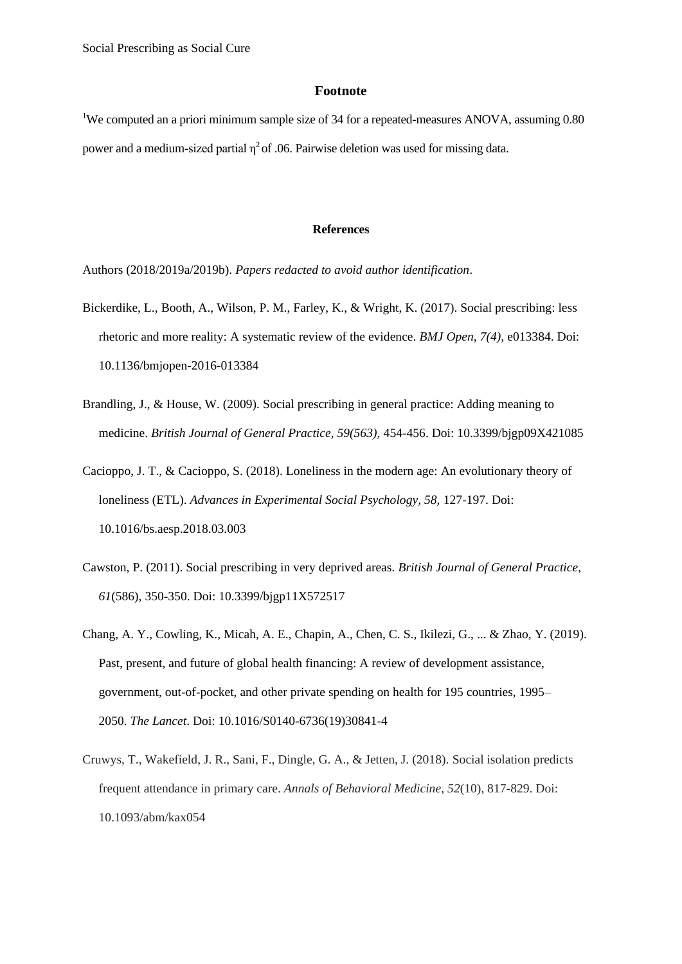## **Footnote**

<sup>1</sup>We computed an a priori minimum sample size of 34 for a repeated-measures ANOVA, assuming 0.80 power and a medium-sized partial  $\eta^2$  of .06. Pairwise deletion was used for missing data.

#### **References**

Authors (2018/2019a/2019b). *Papers redacted to avoid author identification*.

- Bickerdike, L., Booth, A., Wilson, P. M., Farley, K., & Wright, K. (2017). Social prescribing: less rhetoric and more reality: A systematic review of the evidence. *BMJ Open, 7(4),* e013384. Doi: 10.1136/bmjopen-2016-013384
- Brandling, J., & House, W. (2009). Social prescribing in general practice: Adding meaning to medicine. *British Journal of General Practice, 59(563),* 454-456. Doi: 10.3399/bjgp09X421085
- Cacioppo, J. T., & Cacioppo, S. (2018). Loneliness in the modern age: An evolutionary theory of loneliness (ETL). *Advances in Experimental Social Psychology, 58,* 127-197. Doi: 10.1016/bs.aesp.2018.03.003
- Cawston, P. (2011). Social prescribing in very deprived areas. *British Journal of General Practice*, *61*(586), 350-350. Doi: 10.3399/bjgp11X572517
- Chang, A. Y., Cowling, K., Micah, A. E., Chapin, A., Chen, C. S., Ikilezi, G., ... & Zhao, Y. (2019). Past, present, and future of global health financing: A review of development assistance, government, out-of-pocket, and other private spending on health for 195 countries, 1995– 2050. *The Lancet*. Doi: 10.1016/S0140-6736(19)30841-4
- Cruwys, T., Wakefield, J. R., Sani, F., Dingle, G. A., & Jetten, J. (2018). Social isolation predicts frequent attendance in primary care. *Annals of Behavioral Medicine*, *52*(10), 817-829. Doi: 10.1093/abm/kax054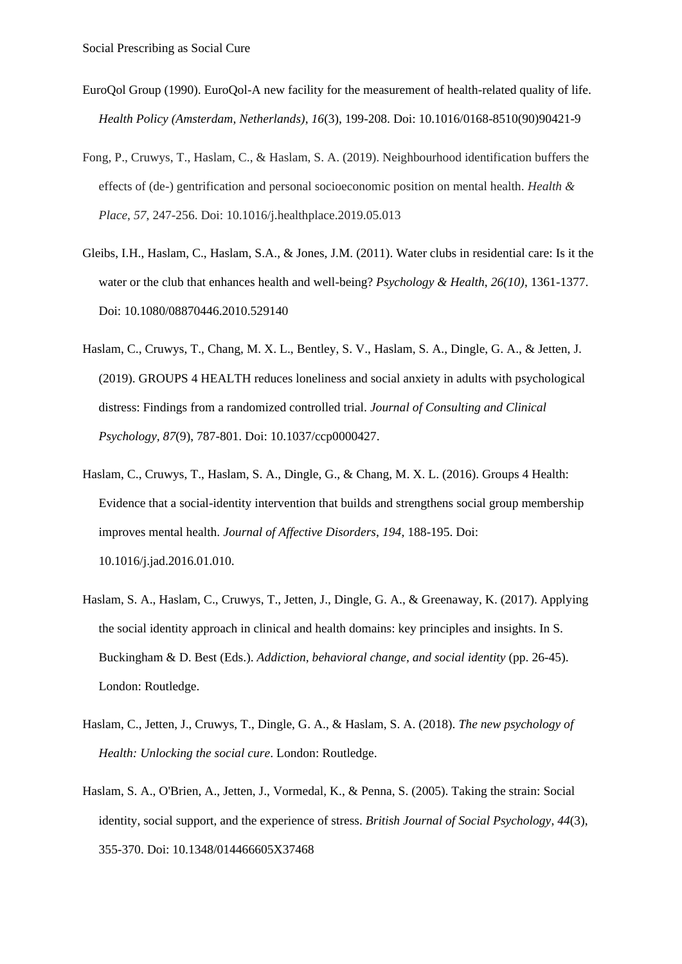- EuroQol Group (1990). EuroQol-A new facility for the measurement of health-related quality of life. *Health Policy (Amsterdam, Netherlands)*, *16*(3), 199-208. Doi: 10.1016/0168-8510(90)90421-9
- Fong, P., Cruwys, T., Haslam, C., & Haslam, S. A. (2019). Neighbourhood identification buffers the effects of (de-) gentrification and personal socioeconomic position on mental health. *Health & Place*, *57*, 247-256. Doi: 10.1016/j.healthplace.2019.05.013
- Gleibs, I.H., Haslam, C., Haslam, S.A., & Jones, J.M. (2011). Water clubs in residential care: Is it the water or the club that enhances health and well-being? *Psychology & Health*, *26(10)*, 1361-1377. Doi: 10.1080/08870446.2010.529140
- Haslam, C., Cruwys, T., Chang, M. X. L., Bentley, S. V., Haslam, S. A., Dingle, G. A., & Jetten, J. (2019). GROUPS 4 HEALTH reduces loneliness and social anxiety in adults with psychological distress: Findings from a randomized controlled trial. *Journal of Consulting and Clinical Psychology, 87*(9), 787-801. Doi: 10.1037/ccp0000427.
- Haslam, C., Cruwys, T., Haslam, S. A., Dingle, G., & Chang, M. X. L. (2016). Groups 4 Health: Evidence that a social-identity intervention that builds and strengthens social group membership improves mental health. *Journal of Affective Disorders*, *194*, 188-195. Doi: 10.1016/j.jad.2016.01.010.
- Haslam, S. A., Haslam, C., Cruwys, T., Jetten, J., Dingle, G. A., & Greenaway, K. (2017). Applying the social identity approach in clinical and health domains: key principles and insights. In S. Buckingham & D. Best (Eds.). *Addiction, behavioral change, and social identity* (pp. 26-45). London: Routledge.
- Haslam, C., Jetten, J., Cruwys, T., Dingle, G. A., & Haslam, S. A. (2018). *The new psychology of Health: Unlocking the social cure*. London: Routledge.
- Haslam, S. A., O'Brien, A., Jetten, J., Vormedal, K., & Penna, S. (2005). Taking the strain: Social identity, social support, and the experience of stress. *British Journal of Social Psychology*, *44*(3), 355-370. Doi: 10.1348/014466605X37468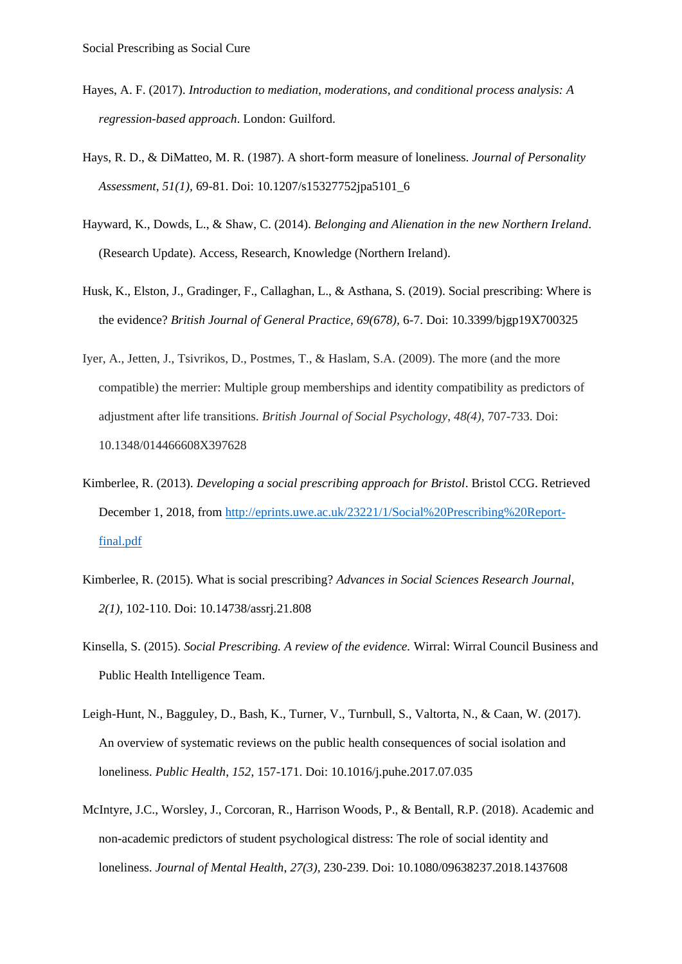- Hayes, A. F. (2017). *Introduction to mediation, moderations, and conditional process analysis: A regression-based approach*. London: Guilford.
- Hays, R. D., & DiMatteo, M. R. (1987). A short-form measure of loneliness. *Journal of Personality Assessment*, *51(1),* 69-81. Doi: 10.1207/s15327752jpa5101\_6
- Hayward, K., Dowds, L., & Shaw, C. (2014). *Belonging and Alienation in the new Northern Ireland*. (Research Update). Access, Research, Knowledge (Northern Ireland).
- Husk, K., Elston, J., Gradinger, F., Callaghan, L., & Asthana, S. (2019). Social prescribing: Where is the evidence? *British Journal of General Practice, 69(678),* 6-7. Doi: 10.3399/bjgp19X700325
- Iyer, A., Jetten, J., Tsivrikos, D., Postmes, T., & Haslam, S.A. (2009). The more (and the more compatible) the merrier: Multiple group memberships and identity compatibility as predictors of adjustment after life transitions. *British Journal of Social Psychology*, *48(4)*, 707-733. Doi: 10.1348/014466608X397628
- Kimberlee, R. (2013). *Developing a social prescribing approach for Bristol*. Bristol CCG. Retrieved December 1, 2018, from [http://eprints.uwe.ac.uk/23221/1/Social%20Prescribing%20Report](http://eprints.uwe.ac.uk/23221/1/Social%20Prescribing%20Report-final.pdf)[final.pdf](http://eprints.uwe.ac.uk/23221/1/Social%20Prescribing%20Report-final.pdf)
- Kimberlee, R. (2015). What is social prescribing? *Advances in Social Sciences Research Journal*, *2(1),* 102-110. Doi: 10.14738/assrj.21.808
- Kinsella, S. (2015). *Social Prescribing. A review of the evidence.* Wirral: Wirral Council Business and Public Health Intelligence Team.
- Leigh-Hunt, N., Bagguley, D., Bash, K., Turner, V., Turnbull, S., Valtorta, N., & Caan, W. (2017). An overview of systematic reviews on the public health consequences of social isolation and loneliness. *Public Health*, *152*, 157-171. Doi: 10.1016/j.puhe.2017.07.035
- McIntyre, J.C., Worsley, J., Corcoran, R., Harrison Woods, P., & Bentall, R.P. (2018). Academic and non-academic predictors of student psychological distress: The role of social identity and loneliness. *Journal of Mental Health*, *27(3),* 230-239. Doi: 10.1080/09638237.2018.1437608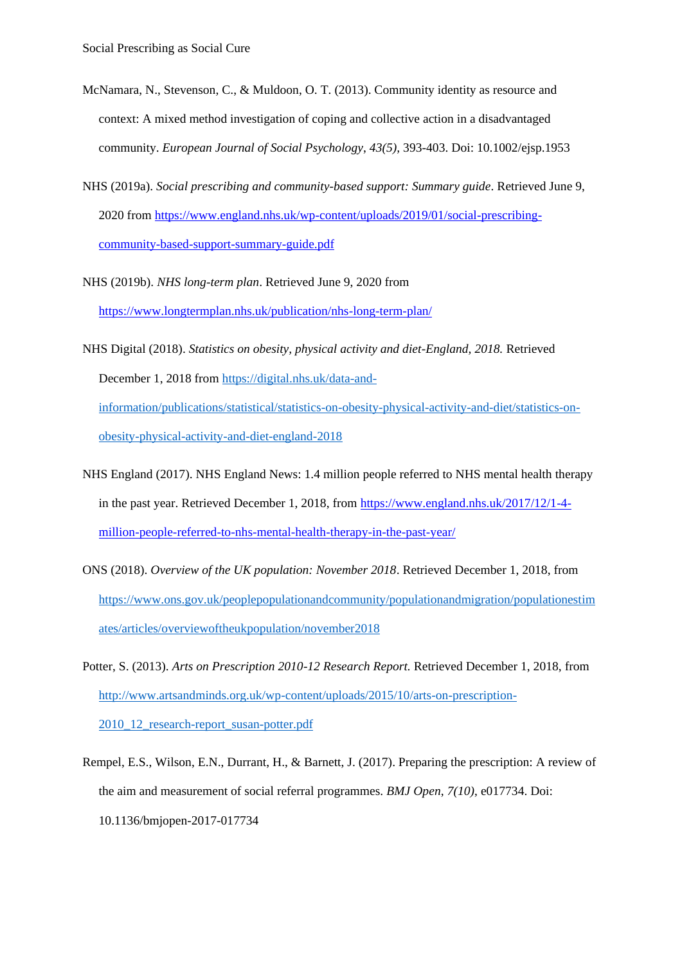- McNamara, N., Stevenson, C., & Muldoon, O. T. (2013). Community identity as resource and context: A mixed method investigation of coping and collective action in a disadvantaged community. *European Journal of Social Psychology*, *43(5),* 393-403. Doi: 10.1002/ejsp.1953
- NHS (2019a). *Social prescribing and community-based support: Summary guide*. Retrieved June 9, 2020 from [https://www.england.nhs.uk/wp-content/uploads/2019/01/social-prescribing](https://www.england.nhs.uk/wp-content/uploads/2019/01/social-prescribing-community-based-support-summary-guide.pdf)[community-based-support-summary-guide.pdf](https://www.england.nhs.uk/wp-content/uploads/2019/01/social-prescribing-community-based-support-summary-guide.pdf)
- NHS (2019b). *NHS long-term plan*. Retrieved June 9, 2020 from <https://www.longtermplan.nhs.uk/publication/nhs-long-term-plan/>
- NHS Digital (2018). *Statistics on obesity, physical activity and diet-England, 2018.* Retrieved December 1, 2018 from [https://digital.nhs.uk/data-and](https://digital.nhs.uk/data-and-information/publications/statistical/statistics-on-obesity-physical-activity-and-diet/statistics-on-obesity-physical-activity-and-diet-england-2018)[information/publications/statistical/statistics-on-obesity-physical-activity-and-diet/statistics-on](https://digital.nhs.uk/data-and-information/publications/statistical/statistics-on-obesity-physical-activity-and-diet/statistics-on-obesity-physical-activity-and-diet-england-2018)[obesity-physical-activity-and-diet-england-2018](https://digital.nhs.uk/data-and-information/publications/statistical/statistics-on-obesity-physical-activity-and-diet/statistics-on-obesity-physical-activity-and-diet-england-2018)
- NHS England (2017). NHS England News: 1.4 million people referred to NHS mental health therapy in the past year. Retrieved December 1, 2018, from [https://www.england.nhs.uk/2017/12/1-4](https://www.england.nhs.uk/2017/12/1-4-million-people-referred-to-nhs-mental-health-therapy-in-the-past-year/) [million-people-referred-to-nhs-mental-health-therapy-in-the-past-year/](https://www.england.nhs.uk/2017/12/1-4-million-people-referred-to-nhs-mental-health-therapy-in-the-past-year/)
- ONS (2018). *Overview of the UK population: November 2018*. Retrieved December 1, 2018, from [https://www.ons.gov.uk/peoplepopulationandcommunity/populationandmigration/populationestim](https://www.ons.gov.uk/peoplepopulationandcommunity/populationandmigration/populationestimates/articles/overviewoftheukpopulation/november2018) [ates/articles/overviewoftheukpopulation/november2018](https://www.ons.gov.uk/peoplepopulationandcommunity/populationandmigration/populationestimates/articles/overviewoftheukpopulation/november2018)
- Potter, S. (2013). *Arts on Prescription 2010-12 Research Report.* Retrieved December 1, 2018, from [http://www.artsandminds.org.uk/wp-content/uploads/2015/10/arts-on-prescription-](http://www.artsandminds.org.uk/wp-content/uploads/2015/10/arts-on-prescription-2010_12_research-report_susan-potter.pdf)[2010\\_12\\_research-report\\_susan-potter.pdf](http://www.artsandminds.org.uk/wp-content/uploads/2015/10/arts-on-prescription-2010_12_research-report_susan-potter.pdf)
- Rempel, E.S., Wilson, E.N., Durrant, H., & Barnett, J. (2017). Preparing the prescription: A review of the aim and measurement of social referral programmes. *BMJ Open*, *7(10)*, e017734. Doi: 10.1136/bmjopen-2017-017734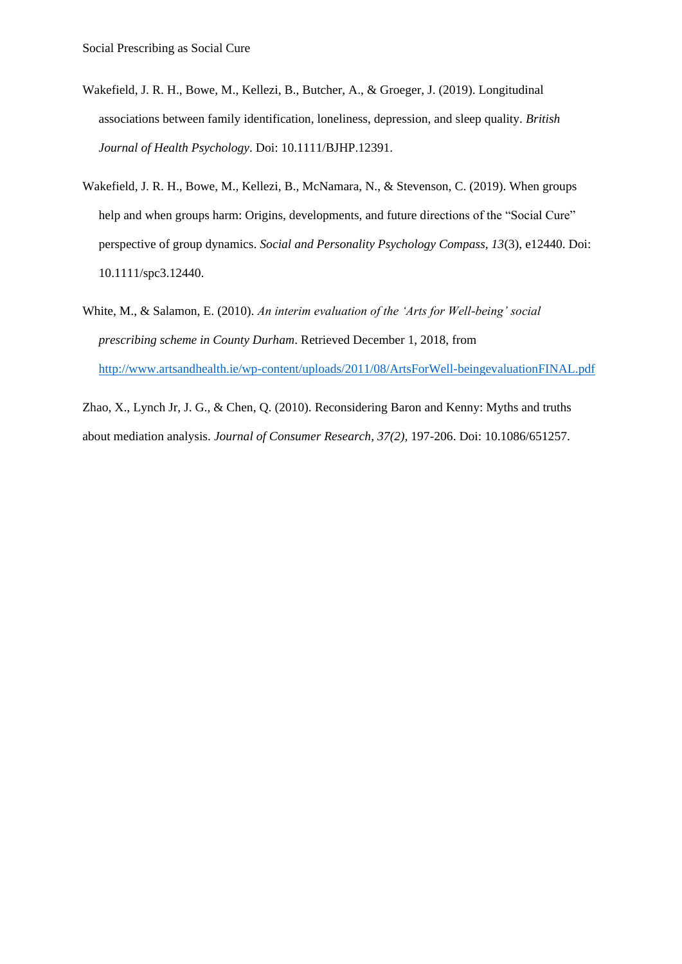- Wakefield, J. R. H., Bowe, M., Kellezi, B., Butcher, A., & Groeger, J. (2019). Longitudinal associations between family identification, loneliness, depression, and sleep quality. *British Journal of Health Psychology*. Doi: 10.1111/BJHP.12391.
- Wakefield, J. R. H., Bowe, M., Kellezi, B., McNamara, N., & Stevenson, C. (2019). When groups help and when groups harm: Origins, developments, and future directions of the "Social Cure" perspective of group dynamics. *Social and Personality Psychology Compass, 13*(3), e12440. Doi: 10.1111/spc3.12440.
- White, M., & Salamon, E. (2010). *An interim evaluation of the 'Arts for Well-being' social prescribing scheme in County Durham*. Retrieved December 1, 2018, from <http://www.artsandhealth.ie/wp-content/uploads/2011/08/ArtsForWell-beingevaluationFINAL.pdf>

Zhao, X., Lynch Jr, J. G., & Chen, Q. (2010). Reconsidering Baron and Kenny: Myths and truths about mediation analysis. *Journal of Consumer Research*, *37(2),* 197-206. Doi: 10.1086/651257.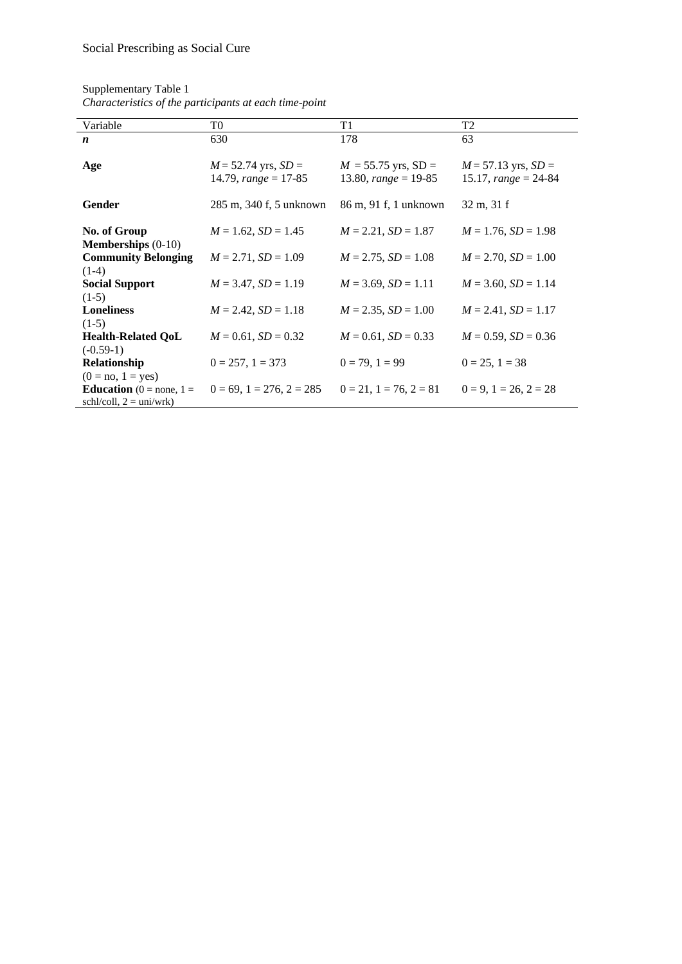| Variable                                                          | T0                                                | T1                                              | T <sub>2</sub>                                    |
|-------------------------------------------------------------------|---------------------------------------------------|-------------------------------------------------|---------------------------------------------------|
| $\boldsymbol{n}$                                                  | 630                                               | 178                                             | 63                                                |
| Age                                                               | $M = 52.74$ yrs, $SD =$<br>14.79, $range = 17-85$ | $M = 55.75$ yrs, SD =<br>13.80, $range = 19-85$ | $M = 57.13$ yrs, $SD =$<br>15.17, $range = 24-84$ |
| <b>Gender</b>                                                     | 285 m, 340 f, 5 unknown                           | 86 m, 91 f, 1 unknown                           | $32 \text{ m}, 31 \text{ f}$                      |
| No. of Group<br><b>Memberships</b> $(0-10)$                       | $M = 1.62$ , $SD = 1.45$                          | $M = 2.21$ , $SD = 1.87$                        | $M = 1.76$ , $SD = 1.98$                          |
| <b>Community Belonging</b><br>$(1-4)$                             | $M = 2.71$ , $SD = 1.09$                          | $M = 2.75$ , $SD = 1.08$                        | $M = 2.70$ , $SD = 1.00$                          |
| <b>Social Support</b><br>$(1-5)$                                  | $M = 3.47$ , $SD = 1.19$                          | $M = 3.69$ , $SD = 1.11$                        | $M = 3.60$ , $SD = 1.14$                          |
| <b>Loneliness</b><br>$(1-5)$                                      | $M = 2.42$ , $SD = 1.18$                          | $M = 2.35$ , $SD = 1.00$                        | $M = 2.41$ , $SD = 1.17$                          |
| <b>Health-Related QoL</b><br>$(-0.59-1)$                          | $M = 0.61$ , $SD = 0.32$                          | $M = 0.61$ , $SD = 0.33$                        | $M = 0.59$ , $SD = 0.36$                          |
| Relationship<br>$(0 = no, 1 = yes)$                               | $0 = 257$ , $1 = 373$                             | $0 = 79$ , $1 = 99$                             | $0 = 25$ , $1 = 38$                               |
| <b>Education</b> ( $0 =$ none, $1 =$<br>$schl/coll, 2 = uni/wrk)$ | $0 = 69$ , $1 = 276$ , $2 = 285$                  | $0 = 21$ , $1 = 76$ , $2 = 81$                  | $0 = 9, 1 = 26, 2 = 28$                           |

Supplementary Table 1 *Characteristics of the participants at each time-point*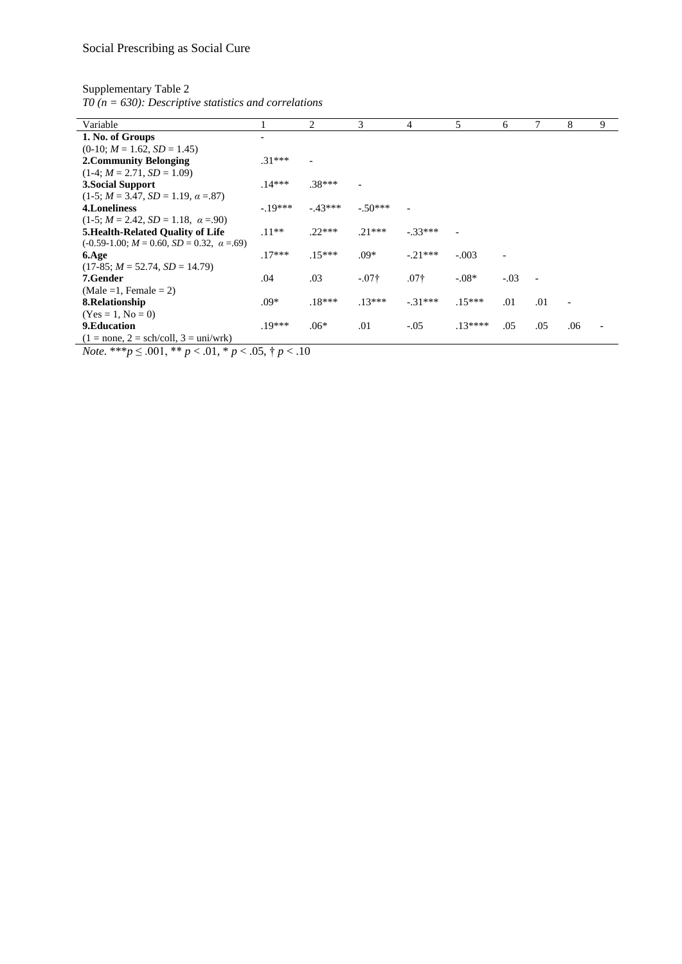Supplementary Table 2

*T0 (n = 630): Descriptive statistics and correlations*

| Variable                                          |          | 2        | 3             | 4         | 5         | 6      |     | 8   | 9 |
|---------------------------------------------------|----------|----------|---------------|-----------|-----------|--------|-----|-----|---|
| 1. No. of Groups                                  |          |          |               |           |           |        |     |     |   |
| $(0-10; M = 1.62, SD = 1.45)$                     |          |          |               |           |           |        |     |     |   |
| 2. Community Belonging                            | $.31***$ |          |               |           |           |        |     |     |   |
| $(1-4; M = 2.71, SD = 1.09)$                      |          |          |               |           |           |        |     |     |   |
| 3. Social Support                                 | $14***$  | 38***    |               |           |           |        |     |     |   |
| $(1-5; M = 3.47, SD = 1.19, \alpha = .87)$        |          |          |               |           |           |        |     |     |   |
| 4. Loneliness                                     | $-19***$ | $-43***$ | $-.50***$     |           |           |        |     |     |   |
| $(1-5; M = 2.42, SD = 1.18, \alpha = .90)$        |          |          |               |           |           |        |     |     |   |
| <b>5. Health-Related Quality of Life</b>          | $.11**$  | $.22***$ | $21***$       | $-.33***$ |           |        |     |     |   |
| $(-0.59-1.00; M = 0.60, SD = 0.32, \alpha = .69)$ |          |          |               |           |           |        |     |     |   |
| 6.Age                                             | $.17***$ | $.15***$ | $.09*$        | $-21***$  | $-.003$   |        |     |     |   |
| $(17-85; M = 52.74, SD = 14.79)$                  |          |          |               |           |           |        |     |     |   |
| 7.Gender                                          | .04      | .03      | $-.07\dagger$ | $.07+$    | $-.08*$   | $-.03$ |     |     |   |
| $(Male = 1, Female = 2)$                          |          |          |               |           |           |        |     |     |   |
| 8. Relationship                                   | $.09*$   | $.18***$ | $.13***$      | $-31***$  | $.15***$  | .01    | .01 |     |   |
| $(Yes = 1, No = 0)$                               |          |          |               |           |           |        |     |     |   |
| 9. Education                                      | $.19***$ | $.06*$   | .01           | $-.05$    | $.13****$ | .05    | .05 | .06 |   |
| $(1 = none, 2 = sch/coll, 3 = uni/wrk)$           |          |          |               |           |           |        |     |     |   |

*Note.* \*\*\**p* ≤ .001, \*\* *p* < .01, \* *p* < .05, † *p* < .10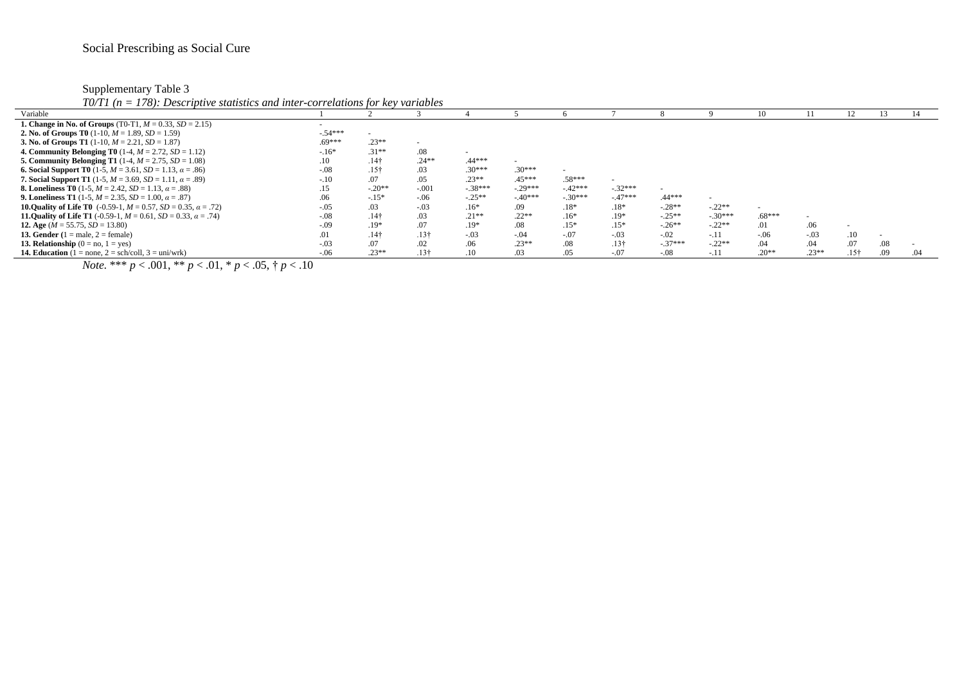Supplementary Table 3

*T0/T1 (n = 178): Descriptive statistics and inter-correlations for key variables*

| $19/11$ (if $-119$ ). Descriptive statistics and their correlations for new variables |           |                  |                  |           |           |           |                          |           |           |          |         |                          |     |     |
|---------------------------------------------------------------------------------------|-----------|------------------|------------------|-----------|-----------|-----------|--------------------------|-----------|-----------|----------|---------|--------------------------|-----|-----|
| Variable                                                                              |           |                  |                  |           |           |           |                          |           |           |          |         |                          |     |     |
| <b>1. Change in No. of Groups</b> (T0-T1, $M = 0.33$ , $SD = 2.15$ )                  |           |                  |                  |           |           |           |                          |           |           |          |         |                          |     |     |
| <b>2. No. of Groups T0</b> (1-10, $M = 1.89$ , $SD = 1.59$ )                          | $-.54***$ |                  |                  |           |           |           |                          |           |           |          |         |                          |     |     |
| <b>3. No. of Groups T1</b> (1-10, $M = 2.21$ , $SD = 1.87$ )                          | $.69***$  | $.23**$          |                  |           |           |           |                          |           |           |          |         |                          |     |     |
| <b>4. Community Belonging T0</b> (1-4, $M = 2.72$ , $SD = 1.12$ )                     | $-16*$    | $.31**$          | .08              |           |           |           |                          |           |           |          |         |                          |     |     |
| <b>5. Community Belonging T1</b> (1-4, $M = 2.75$ , $SD = 1.08$ )                     | .10       | .14 <sub>†</sub> | $.24**$          | 44***     |           |           |                          |           |           |          |         |                          |     |     |
| <b>6. Social Support T0</b> (1-5, $M = 3.61$ , $SD = 1.13$ , $\alpha = .86$ )         | $-.08$    | .15 <sup>†</sup> | .03              | $30***$   | $.30***$  |           |                          |           |           |          |         |                          |     |     |
| <b>7. Social Support T1</b> (1-5, $M = 3.69$ , $SD = 1.11$ , $\alpha = .89$ )         | $-.10$    |                  | .05              | $.23**$   | .45***    | $.58***$  | $\overline{\phantom{a}}$ |           |           |          |         |                          |     |     |
| <b>8. Loneliness T0</b> (1-5, $M = 2.42$ , $SD = 1.13$ , $\alpha = .88$ )             | .15       | $-.20**$         | $-.001$          | $-.38***$ | $-29***$  | $-.42***$ | $-.32***$                |           |           |          |         |                          |     |     |
| <b>9. Loneliness T1</b> (1-5, $M = 2.35$ , $SD = 1.00$ , $\alpha = .87$ )             |           | $-.15*$          | $-.06$           | $-.25**$  | $-.40***$ | $-.30***$ | $-47***$                 | $.44***$  |           |          |         |                          |     |     |
| <b>10.0uality of Life T0</b> (-0.59-1, $M = 0.57$ , $SD = 0.35$ , $\alpha = .72$ )    | $-.05$    |                  | $-.03$           | $.16*$    | .09       | $.18*$    | $.18*$                   | $-.28**$  | $-.22**$  |          |         |                          |     |     |
| <b>11. Quality of Life T1</b> (-0.59-1, $M = 0.61$ , $SD = 0.33$ , $\alpha = .74$ )   | $-.08$    | .14 <sub>†</sub> | .03              | $.21**$   | $.22**$   | $.16*$    | $.19*$                   | $-.25**$  | $-.30***$ | $.68***$ |         |                          |     |     |
| 12. Age ( $M = 55.75$ , $SD = 13.80$ )                                                | $-.09$    | $.19*$           |                  | $.19*$    | .08       | $.15*$    | $.15*$                   | $-.26**$  | $-.22**$  | .01      | .06     | $\overline{\phantom{a}}$ |     |     |
| 13. Gender $(1 = male, 2 = female)$                                                   | .01       | .14 <sup>†</sup> | .13 <sup>†</sup> | $-.03$    | $-.04$    | $-.07$    | $-.03$                   | $-.02$    | $-.11$    | $-.06$   | $-.03$  | .10                      |     |     |
| 13. Relationship $(0 = no, 1 = yes)$                                                  | $-.03$    |                  |                  | .06       | $.23**$   | .08       | .13 <sub>†</sub>         | $-.37***$ | $-.22**$  | .04      | .04     | .07                      | .08 |     |
| <b>14. Education</b> $(1 = none, 2 = sch/coll, 3 = uni/wrk)$                          | $-.06$    | $.23**$          | .13†             |           |           |           | $-.07$                   | $-.08$    | $-.1$     | $.20**$  | $.23**$ | .15 <sup>†</sup>         | .09 | .04 |

*Note.* \*\*\*  $p < .001$ , \*\*  $p < .01$ , \*  $p < .05$ , †  $p < .10$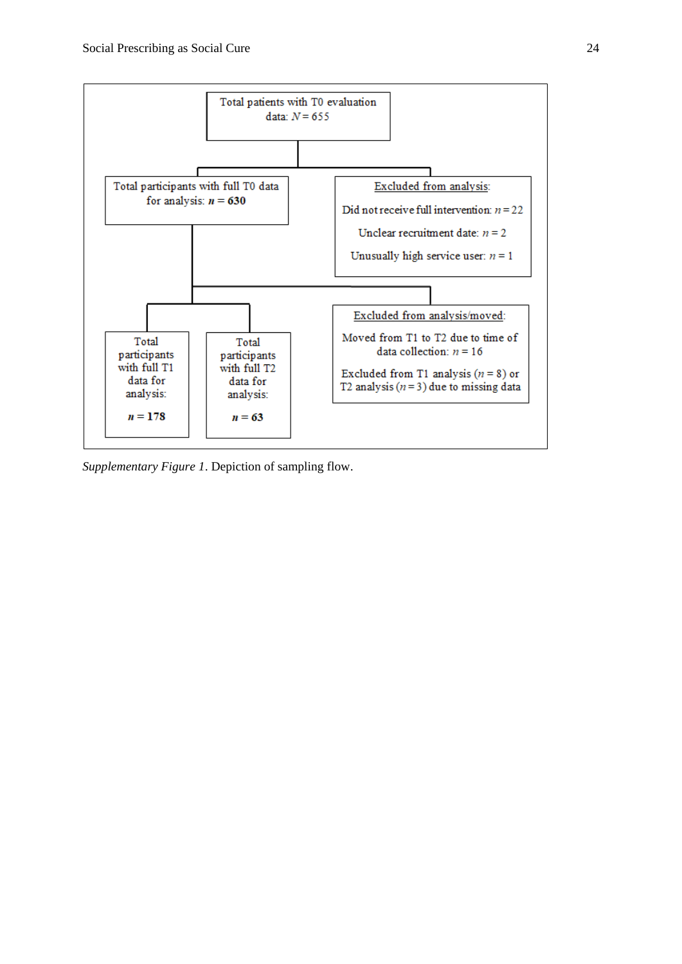

*Supplementary Figure 1*. Depiction of sampling flow.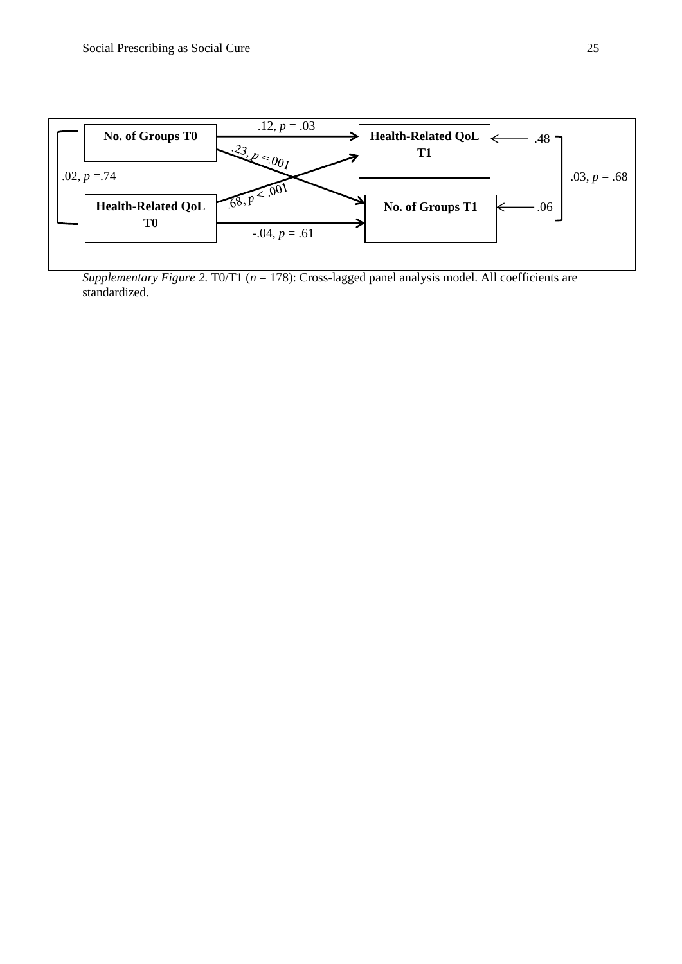

*Supplementary Figure 2.* T0/T1 (*n* = 178): Cross-lagged panel analysis model. All coefficients are standardized.